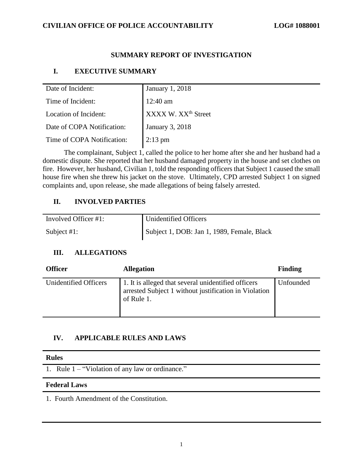### **CIVILIAN OFFICE OF POLICE ACCOUNTABILITY LOG# 1088001**

## **SUMMARY REPORT OF INVESTIGATION**

## **I. EXECUTIVE SUMMARY**

| Date of Incident:          | <b>January 1, 2018</b>          |
|----------------------------|---------------------------------|
| Time of Incident:          | $12:40$ am                      |
| Location of Incident:      | XXXX W. XX <sup>th</sup> Street |
| Date of COPA Notification: | <b>January 3, 2018</b>          |
| Time of COPA Notification: | $2:13$ pm                       |
|                            |                                 |

The complainant, Subject 1, called the police to her home after she and her husband had a domestic dispute. She reported that her husband damaged property in the house and set clothes on fire. However, her husband, Civilian 1, told the responding officers that Subject 1 caused the small house fire when she threw his jacket on the stove. Ultimately, CPD arrested Subject 1 on signed complaints and, upon release, she made allegations of being falsely arrested.

### **II. INVOLVED PARTIES**

| Involved Officer #1: | Unidentified Officers                      |
|----------------------|--------------------------------------------|
| Subject $#1$ :       | Subject 1, DOB: Jan 1, 1989, Female, Black |

# **III. ALLEGATIONS**

| <b>Officer</b>               | <b>Allegation</b>                                                                                                          | <b>Finding</b> |
|------------------------------|----------------------------------------------------------------------------------------------------------------------------|----------------|
| <b>Unidentified Officers</b> | 1. It is alleged that several unidentified officers<br>arrested Subject 1 without justification in Violation<br>of Rule 1. | Unfounded      |

### **IV. APPLICABLE RULES AND LAWS**

#### **Rules**

1. Rule 1 – "Violation of any law or ordinance."

### **Federal Laws**

1. Fourth Amendment of the Constitution.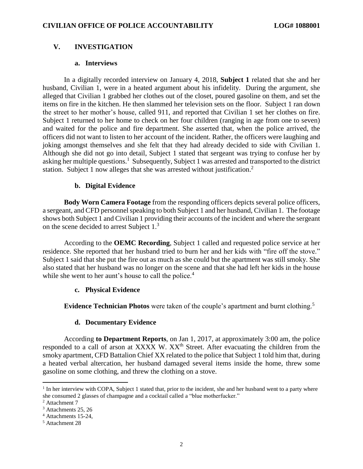### **V. INVESTIGATION**

#### **a. Interviews**

In a digitally recorded interview on January 4, 2018, **Subject 1** related that she and her husband, Civilian 1, were in a heated argument about his infidelity. During the argument, she alleged that Civilian 1 grabbed her clothes out of the closet, poured gasoline on them, and set the items on fire in the kitchen. He then slammed her television sets on the floor. Subject 1 ran down the street to her mother's house, called 911, and reported that Civilian 1 set her clothes on fire. Subject 1 returned to her home to check on her four children (ranging in age from one to seven) and waited for the police and fire department. She asserted that, when the police arrived, the officers did not want to listen to her account of the incident. Rather, the officers were laughing and joking amongst themselves and she felt that they had already decided to side with Civilian 1. Although she did not go into detail, Subject 1 stated that sergeant was trying to confuse her by asking her multiple questions.<sup>1</sup> Subsequently, Subject 1 was arrested and transported to the district station. Subject 1 now alleges that she was arrested without justification.<sup>2</sup>

### **b. Digital Evidence**

**Body Worn Camera Footage** from the responding officers depicts several police officers, a sergeant, and CFD personnel speaking to both Subject 1 and her husband, Civilian 1. The footage shows both Subject 1 and Civilian 1 providing their accounts of the incident and where the sergeant on the scene decided to arrest Subject 1.<sup>3</sup>

According to the **OEMC Recording**, Subject 1 called and requested police service at her residence. She reported that her husband tried to burn her and her kids with "fire off the stove." Subject 1 said that she put the fire out as much as she could but the apartment was still smoky. She also stated that her husband was no longer on the scene and that she had left her kids in the house while she went to her aunt's house to call the police.<sup>4</sup>

#### **c. Physical Evidence**

**Evidence Technician Photos** were taken of the couple's apartment and burnt clothing.<sup>5</sup>

### **d. Documentary Evidence**

According **to Department Reports**, on Jan 1, 2017, at approximately 3:00 am, the police responded to a call of arson at XXXX W. XX<sup>th</sup> Street. After evacuating the children from the smoky apartment, CFD Battalion Chief XX related to the police that Subject 1 told him that, during a heated verbal altercation, her husband damaged several items inside the home, threw some gasoline on some clothing, and threw the clothing on a stove.

 $\overline{\phantom{a}}$ 

<sup>&</sup>lt;sup>1</sup> In her interview with COPA, Subject 1 stated that, prior to the incident, she and her husband went to a party where she consumed 2 glasses of champagne and a cocktail called a "blue motherfucker."

<sup>&</sup>lt;sup>2</sup> Attachment 7

<sup>3</sup> Attachments 25, 26

<sup>4</sup> Attachments 15-24,

<sup>5</sup> Attachment 28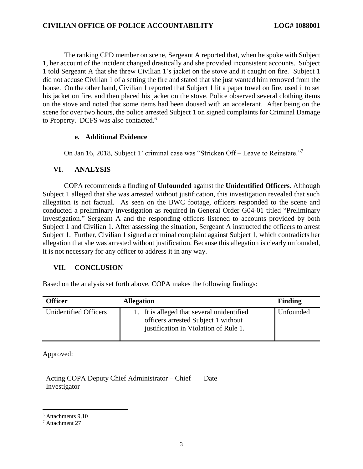The ranking CPD member on scene, Sergeant A reported that, when he spoke with Subject 1, her account of the incident changed drastically and she provided inconsistent accounts. Subject 1 told Sergeant A that she threw Civilian 1's jacket on the stove and it caught on fire. Subject 1 did not accuse Civilian 1 of a setting the fire and stated that she just wanted him removed from the house. On the other hand, Civilian 1 reported that Subject 1 lit a paper towel on fire, used it to set his jacket on fire, and then placed his jacket on the stove. Police observed several clothing items on the stove and noted that some items had been doused with an accelerant. After being on the scene for over two hours, the police arrested Subject 1 on signed complaints for Criminal Damage to Property. DCFS was also contacted.<sup>6</sup>

### **e. Additional Evidence**

On Jan 16, 2018, Subject 1' criminal case was "Stricken Off – Leave to Reinstate."<sup>7</sup>

### **VI. ANALYSIS**

COPA recommends a finding of **Unfounded** against the **Unidentified Officers**. Although Subject 1 alleged that she was arrested without justification, this investigation revealed that such allegation is not factual. As seen on the BWC footage, officers responded to the scene and conducted a preliminary investigation as required in General Order G04-01 titled "Preliminary Investigation." Sergeant A and the responding officers listened to accounts provided by both Subject 1 and Civilian 1. After assessing the situation, Sergeant A instructed the officers to arrest Subject 1. Further, Civilian 1 signed a criminal complaint against Subject 1, which contradicts her allegation that she was arrested without justification. Because this allegation is clearly unfounded, it is not necessary for any officer to address it in any way.

### **VII. CONCLUSION**

Based on the analysis set forth above, COPA makes the following findings:

| <b>Officer</b>        | <b>Allegation</b>                                                                                                          | Finding   |
|-----------------------|----------------------------------------------------------------------------------------------------------------------------|-----------|
| Unidentified Officers | 1. It is alleged that several unidentified<br>officers arrested Subject 1 without<br>justification in Violation of Rule 1. | Unfounded |

\_\_\_\_\_\_\_\_\_\_\_\_\_\_\_\_\_\_\_\_\_\_\_\_\_\_\_\_\_\_\_\_\_\_ \_\_\_\_\_\_\_\_\_\_\_\_\_\_\_\_\_\_\_\_\_\_\_\_\_\_\_\_\_\_\_\_\_\_

Approved:

Acting COPA Deputy Chief Administrator – Chief Investigator

Date

 $\overline{a}$ 

<sup>6</sup> Attachments 9,10

<sup>7</sup> Attachment 27